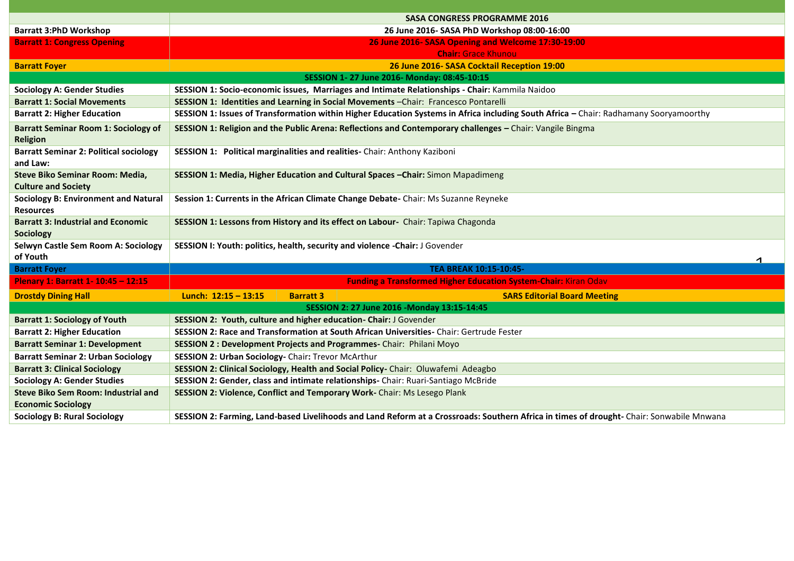|                                                                         | <b>SASA CONGRESS PROGRAMME 2016</b>                                                                                                   |                  |                                                                                                                                          |  |  |
|-------------------------------------------------------------------------|---------------------------------------------------------------------------------------------------------------------------------------|------------------|------------------------------------------------------------------------------------------------------------------------------------------|--|--|
| <b>Barratt 3:PhD Workshop</b>                                           | 26 June 2016- SASA PhD Workshop 08:00-16:00                                                                                           |                  |                                                                                                                                          |  |  |
| <b>Barratt 1: Congress Opening</b>                                      |                                                                                                                                       |                  | 26 June 2016- SASA Opening and Welcome 17:30-19:00                                                                                       |  |  |
|                                                                         |                                                                                                                                       |                  | <b>Chair: Grace Khunou</b>                                                                                                               |  |  |
| <b>Barratt Foyer</b>                                                    |                                                                                                                                       |                  | 26 June 2016- SASA Cocktail Reception 19:00                                                                                              |  |  |
| SESSION 1-27 June 2016- Monday: 08:45-10:15                             |                                                                                                                                       |                  |                                                                                                                                          |  |  |
| <b>Sociology A: Gender Studies</b>                                      |                                                                                                                                       |                  | SESSION 1: Socio-economic issues, Marriages and Intimate Relationships - Chair: Kammila Naidoo                                           |  |  |
| <b>Barratt 1: Social Movements</b>                                      | SESSION 1: Identities and Learning in Social Movements - Chair: Francesco Pontarelli                                                  |                  |                                                                                                                                          |  |  |
| <b>Barratt 2: Higher Education</b>                                      | SESSION 1: Issues of Transformation within Higher Education Systems in Africa including South Africa - Chair: Radhamany Sooryamoorthy |                  |                                                                                                                                          |  |  |
| <b>Barratt Seminar Room 1: Sociology of</b><br><b>Religion</b>          | SESSION 1: Religion and the Public Arena: Reflections and Contemporary challenges - Chair: Vangile Bingma                             |                  |                                                                                                                                          |  |  |
| <b>Barratt Seminar 2: Political sociology</b><br>and Law:               | SESSION 1: Political marginalities and realities- Chair: Anthony Kaziboni                                                             |                  |                                                                                                                                          |  |  |
| Steve Biko Seminar Room: Media,<br><b>Culture and Society</b>           | SESSION 1: Media, Higher Education and Cultural Spaces - Chair: Simon Mapadimeng                                                      |                  |                                                                                                                                          |  |  |
| <b>Sociology B: Environment and Natural</b><br><b>Resources</b>         |                                                                                                                                       |                  | Session 1: Currents in the African Climate Change Debate- Chair: Ms Suzanne Reyneke                                                      |  |  |
| <b>Barratt 3: Industrial and Economic</b><br><b>Sociology</b>           | SESSION 1: Lessons from History and its effect on Labour- Chair: Tapiwa Chagonda                                                      |                  |                                                                                                                                          |  |  |
| Selwyn Castle Sem Room A: Sociology<br>of Youth                         | SESSION I: Youth: politics, health, security and violence -Chair: J Govender<br>$\blacktriangleleft$                                  |                  |                                                                                                                                          |  |  |
| <b>Barratt Foyer</b>                                                    |                                                                                                                                       |                  | TEA BREAK 10:15-10:45-                                                                                                                   |  |  |
| Plenary 1: Barratt 1- 10:45 - 12:15                                     |                                                                                                                                       |                  | <b>Funding a Transformed Higher Education System-Chair: Kiran Odav</b>                                                                   |  |  |
| <b>Drostdy Dining Hall</b>                                              | Lunch: $12:15 - 13:15$                                                                                                                | <b>Barratt 3</b> | <b>SARS Editorial Board Meeting</b>                                                                                                      |  |  |
| SESSION 2: 27 June 2016 - Monday 13:15-14:45                            |                                                                                                                                       |                  |                                                                                                                                          |  |  |
| <b>Barratt 1: Sociology of Youth</b>                                    | SESSION 2: Youth, culture and higher education- Chair: J Govender                                                                     |                  |                                                                                                                                          |  |  |
| <b>Barratt 2: Higher Education</b>                                      |                                                                                                                                       |                  | SESSION 2: Race and Transformation at South African Universities- Chair: Gertrude Fester                                                 |  |  |
| <b>Barratt Seminar 1: Development</b>                                   |                                                                                                                                       |                  | SESSION 2 : Development Projects and Programmes-Chair: Philani Moyo                                                                      |  |  |
| <b>Barratt Seminar 2: Urban Sociology</b>                               | SESSION 2: Urban Sociology- Chair: Trevor McArthur                                                                                    |                  |                                                                                                                                          |  |  |
| <b>Barratt 3: Clinical Sociology</b>                                    | SESSION 2: Clinical Sociology, Health and Social Policy-Chair: Oluwafemi Adeagbo                                                      |                  |                                                                                                                                          |  |  |
| <b>Sociology A: Gender Studies</b>                                      |                                                                                                                                       |                  | SESSION 2: Gender, class and intimate relationships- Chair: Ruari-Santiago McBride                                                       |  |  |
| <b>Steve Biko Sem Room: Industrial and</b><br><b>Economic Sociology</b> |                                                                                                                                       |                  | SESSION 2: Violence, Conflict and Temporary Work-Chair: Ms Lesego Plank                                                                  |  |  |
| <b>Sociology B: Rural Sociology</b>                                     |                                                                                                                                       |                  | SESSION 2: Farming, Land-based Livelihoods and Land Reform at a Crossroads: Southern Africa in times of drought- Chair: Sonwabile Mnwana |  |  |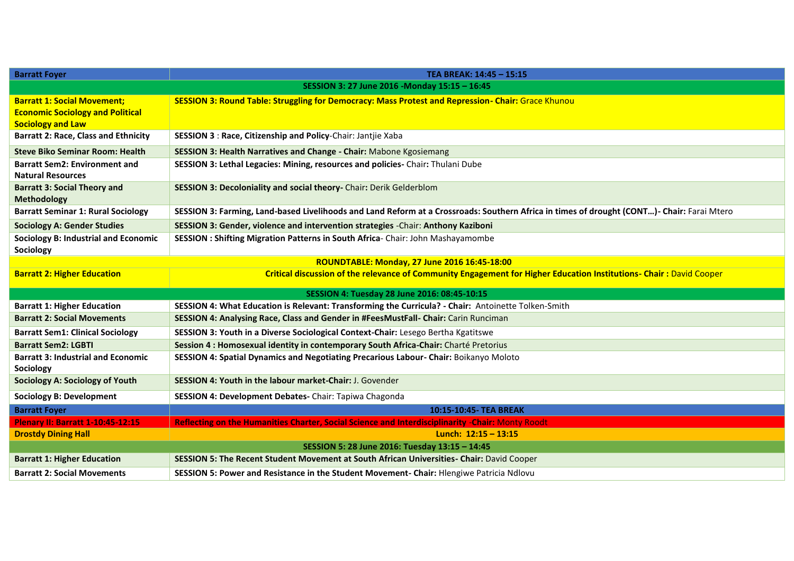| <b>Barratt Foyer</b>                                             | TEA BREAK: 14:45 - 15:15                                                                                                                    |  |  |  |
|------------------------------------------------------------------|---------------------------------------------------------------------------------------------------------------------------------------------|--|--|--|
|                                                                  | SESSION 3: 27 June 2016 - Monday 15:15 - 16:45                                                                                              |  |  |  |
| <b>Barratt 1: Social Movement;</b>                               | SESSION 3: Round Table: Struggling for Democracy: Mass Protest and Repression- Chair: Grace Khunou                                          |  |  |  |
| <b>Economic Sociology and Political</b>                          |                                                                                                                                             |  |  |  |
| <b>Sociology and Law</b>                                         |                                                                                                                                             |  |  |  |
| <b>Barratt 2: Race, Class and Ethnicity</b>                      | <b>SESSION 3: Race, Citizenship and Policy-Chair: Jantije Xaba</b>                                                                          |  |  |  |
| <b>Steve Biko Seminar Room: Health</b>                           | SESSION 3: Health Narratives and Change - Chair: Mabone Kgosiemang                                                                          |  |  |  |
| <b>Barratt Sem2: Environment and</b><br><b>Natural Resources</b> | SESSION 3: Lethal Legacies: Mining, resources and policies- Chair: Thulani Dube                                                             |  |  |  |
| <b>Barratt 3: Social Theory and</b><br>Methodology               | SESSION 3: Decoloniality and social theory- Chair: Derik Gelderblom                                                                         |  |  |  |
| <b>Barratt Seminar 1: Rural Sociology</b>                        | SESSION 3: Farming, Land-based Livelihoods and Land Reform at a Crossroads: Southern Africa in times of drought (CONT) - Chair: Farai Mtero |  |  |  |
| <b>Sociology A: Gender Studies</b>                               | SESSION 3: Gender, violence and intervention strategies -Chair: Anthony Kaziboni                                                            |  |  |  |
| <b>Sociology B: Industrial and Economic</b><br>Sociology         | SESSION: Shifting Migration Patterns in South Africa-Chair: John Mashayamombe                                                               |  |  |  |
| ROUNDTABLE: Monday, 27 June 2016 16:45-18:00                     |                                                                                                                                             |  |  |  |
| <b>Barratt 2: Higher Education</b>                               | Critical discussion of the relevance of Community Engagement for Higher Education Institutions- Chair: David Cooper                         |  |  |  |
| SESSION 4: Tuesday 28 June 2016: 08:45-10:15                     |                                                                                                                                             |  |  |  |
| <b>Barratt 1: Higher Education</b>                               | SESSION 4: What Education is Relevant: Transforming the Curricula? - Chair: Antoinette Tolken-Smith                                         |  |  |  |
| <b>Barratt 2: Social Movements</b>                               | SESSION 4: Analysing Race, Class and Gender in #FeesMustFall- Chair: Carin Runciman                                                         |  |  |  |
| <b>Barratt Sem1: Clinical Sociology</b>                          | SESSION 3: Youth in a Diverse Sociological Context-Chair: Lesego Bertha Kgatitswe                                                           |  |  |  |
| <b>Barratt Sem2: LGBTI</b>                                       | Session 4 : Homosexual identity in contemporary South Africa-Chair: Charté Pretorius                                                        |  |  |  |
| <b>Barratt 3: Industrial and Economic</b><br>Sociology           | SESSION 4: Spatial Dynamics and Negotiating Precarious Labour- Chair: Boikanyo Moloto                                                       |  |  |  |
| <b>Sociology A: Sociology of Youth</b>                           | SESSION 4: Youth in the labour market-Chair: J. Govender                                                                                    |  |  |  |
| <b>Sociology B: Development</b>                                  | SESSION 4: Development Debates- Chair: Tapiwa Chagonda                                                                                      |  |  |  |
| <b>Barratt Foyer</b>                                             | 10:15-10:45- TEA BREAK                                                                                                                      |  |  |  |
| <b>Plenary II: Barratt 1-10:45-12:15</b>                         | Reflecting on the Humanities Charter, Social Science and Interdisciplinarity -Chair: Monty Roodt                                            |  |  |  |
| <b>Drostdy Dining Hall</b>                                       | Lunch: $12:15 - 13:15$                                                                                                                      |  |  |  |
| SESSION 5: 28 June 2016: Tuesday 13:15 - 14:45                   |                                                                                                                                             |  |  |  |
| <b>Barratt 1: Higher Education</b>                               | SESSION 5: The Recent Student Movement at South African Universities- Chair: David Cooper                                                   |  |  |  |
| <b>Barratt 2: Social Movements</b>                               | SESSION 5: Power and Resistance in the Student Movement- Chair: Hlengiwe Patricia Ndlovu                                                    |  |  |  |